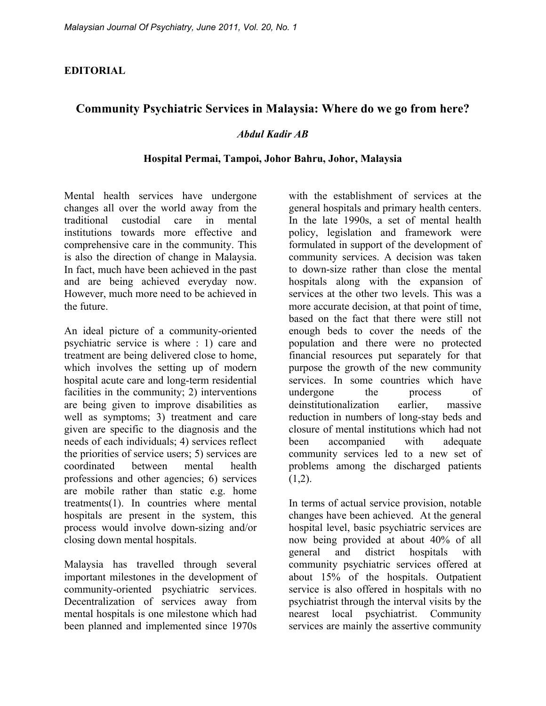### **EDITORIAL**

# **Community Psychiatric Services in Malaysia: Where do we go from here?**

### *Abdul Kadir AB*

#### **Hospital Permai, Tampoi, Johor Bahru, Johor, Malaysia**

Mental health services have undergone changes all over the world away from the traditional custodial care in mental institutions towards more effective and comprehensive care in the community. This is also the direction of change in Malaysia. In fact, much have been achieved in the past and are being achieved everyday now. However, much more need to be achieved in the future.

An ideal picture of a community-oriented psychiatric service is where : 1) care and treatment are being delivered close to home, which involves the setting up of modern hospital acute care and long-term residential facilities in the community; 2) interventions are being given to improve disabilities as well as symptoms; 3) treatment and care given are specific to the diagnosis and the needs of each individuals; 4) services reflect the priorities of service users; 5) services are coordinated between mental health professions and other agencies; 6) services are mobile rather than static e.g. home treatments(1). In countries where mental hospitals are present in the system, this process would involve down-sizing and/or closing down mental hospitals.

Malaysia has travelled through several important milestones in the development of community-oriented psychiatric services. Decentralization of services away from mental hospitals is one milestone which had been planned and implemented since 1970s

with the establishment of services at the general hospitals and primary health centers. In the late 1990s, a set of mental health policy, legislation and framework were formulated in support of the development of community services. A decision was taken to down-size rather than close the mental hospitals along with the expansion of services at the other two levels. This was a more accurate decision, at that point of time, based on the fact that there were still not enough beds to cover the needs of the population and there were no protected financial resources put separately for that purpose the growth of the new community services. In some countries which have undergone the process of deinstitutionalization earlier, massive reduction in numbers of long-stay beds and closure of mental institutions which had not been accompanied with adequate community services led to a new set of problems among the discharged patients  $(1,2)$ .

In terms of actual service provision, notable changes have been achieved. At the general hospital level, basic psychiatric services are now being provided at about 40% of all general and district hospitals with community psychiatric services offered at about 15% of the hospitals. Outpatient service is also offered in hospitals with no psychiatrist through the interval visits by the nearest local psychiatrist. Community services are mainly the assertive community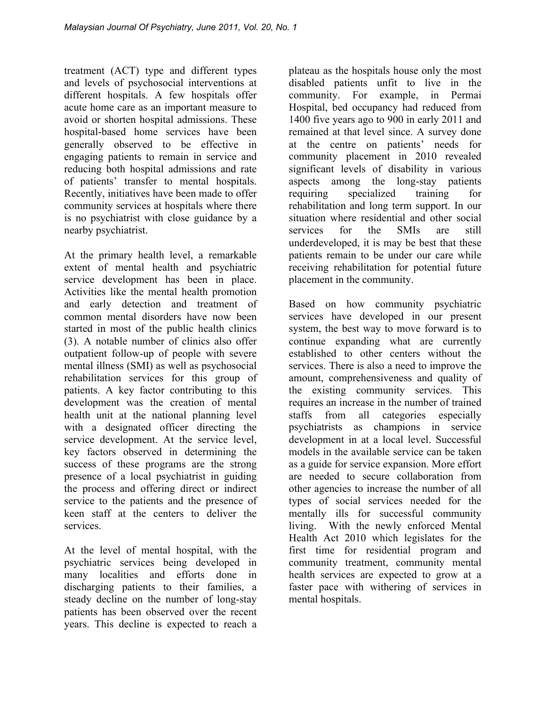treatment (ACT) type and different types and levels of psychosocial interventions at different hospitals. A few hospitals offer acute home care as an important measure to avoid or shorten hospital admissions. These hospital-based home services have been generally observed to be effective in engaging patients to remain in service and reducing both hospital admissions and rate of patients' transfer to mental hospitals. Recently, initiatives have been made to offer community services at hospitals where there is no psychiatrist with close guidance by a nearby psychiatrist.

At the primary health level, a remarkable extent of mental health and psychiatric service development has been in place. Activities like the mental health promotion and early detection and treatment of common mental disorders have now been started in most of the public health clinics (3). A notable number of clinics also offer outpatient follow-up of people with severe mental illness (SMI) as well as psychosocial rehabilitation services for this group of patients. A key factor contributing to this development was the creation of mental health unit at the national planning level with a designated officer directing the service development. At the service level, key factors observed in determining the success of these programs are the strong presence of a local psychiatrist in guiding the process and offering direct or indirect service to the patients and the presence of keen staff at the centers to deliver the services.

At the level of mental hospital, with the psychiatric services being developed in many localities and efforts done in discharging patients to their families, a steady decline on the number of long-stay patients has been observed over the recent years. This decline is expected to reach a plateau as the hospitals house only the most disabled patients unfit to live in the community. For example, in Permai Hospital, bed occupancy had reduced from 1400 five years ago to 900 in early 2011 and remained at that level since. A survey done at the centre on patients' needs for community placement in 2010 revealed significant levels of disability in various aspects among the long-stay patients requiring specialized training for rehabilitation and long term support. In our situation where residential and other social services for the SMIs are still underdeveloped, it is may be best that these patients remain to be under our care while receiving rehabilitation for potential future placement in the community.

Based on how community psychiatric services have developed in our present system, the best way to move forward is to continue expanding what are currently established to other centers without the services. There is also a need to improve the amount, comprehensiveness and quality of the existing community services. This requires an increase in the number of trained staffs from all categories especially psychiatrists as champions in service development in at a local level. Successful models in the available service can be taken as a guide for service expansion. More effort are needed to secure collaboration from other agencies to increase the number of all types of social services needed for the mentally ills for successful community living. With the newly enforced Mental Health Act 2010 which legislates for the first time for residential program and community treatment, community mental health services are expected to grow at a faster pace with withering of services in mental hospitals.